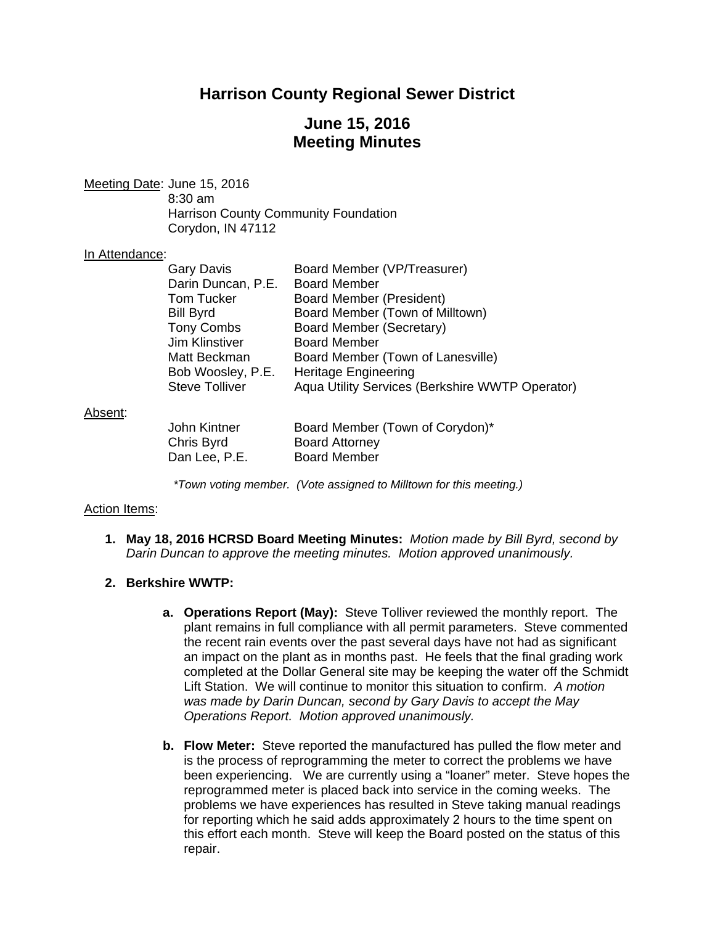# **Harrison County Regional Sewer District**

# **June 15, 2016 Meeting Minutes**

Meeting Date: June 15, 2016 8:30 am Harrison County Community Foundation Corydon, IN 47112

#### In Attendance:

| <b>Gary Davis</b>     | Board Member (VP/Treasurer)                     |
|-----------------------|-------------------------------------------------|
| Darin Duncan, P.E.    | <b>Board Member</b>                             |
| <b>Tom Tucker</b>     | <b>Board Member (President)</b>                 |
| <b>Bill Byrd</b>      | Board Member (Town of Milltown)                 |
| <b>Tony Combs</b>     | Board Member (Secretary)                        |
| <b>Jim Klinstiver</b> | <b>Board Member</b>                             |
| Matt Beckman          | Board Member (Town of Lanesville)               |
| Bob Woosley, P.E.     | <b>Heritage Engineering</b>                     |
| <b>Steve Tolliver</b> | Aqua Utility Services (Berkshire WWTP Operator) |
|                       |                                                 |

#### Absent:

| John Kintner  | Board Member (Town of Corydon)* |
|---------------|---------------------------------|
| Chris Byrd    | <b>Board Attorney</b>           |
| Dan Lee, P.E. | <b>Board Member</b>             |

*\*Town voting member. (Vote assigned to Milltown for this meeting.)* 

### Action Items:

**1. May 18, 2016 HCRSD Board Meeting Minutes:** *Motion made by Bill Byrd, second by Darin Duncan to approve the meeting minutes. Motion approved unanimously.*

### **2. Berkshire WWTP:**

- **a. Operations Report (May):** Steve Tolliver reviewed the monthly report. The plant remains in full compliance with all permit parameters. Steve commented the recent rain events over the past several days have not had as significant an impact on the plant as in months past. He feels that the final grading work completed at the Dollar General site may be keeping the water off the Schmidt Lift Station. We will continue to monitor this situation to confirm. *A motion was made by Darin Duncan, second by Gary Davis to accept the May Operations Report. Motion approved unanimously.*
- **b. Flow Meter:** Steve reported the manufactured has pulled the flow meter and is the process of reprogramming the meter to correct the problems we have been experiencing. We are currently using a "loaner" meter. Steve hopes the reprogrammed meter is placed back into service in the coming weeks. The problems we have experiences has resulted in Steve taking manual readings for reporting which he said adds approximately 2 hours to the time spent on this effort each month. Steve will keep the Board posted on the status of this repair.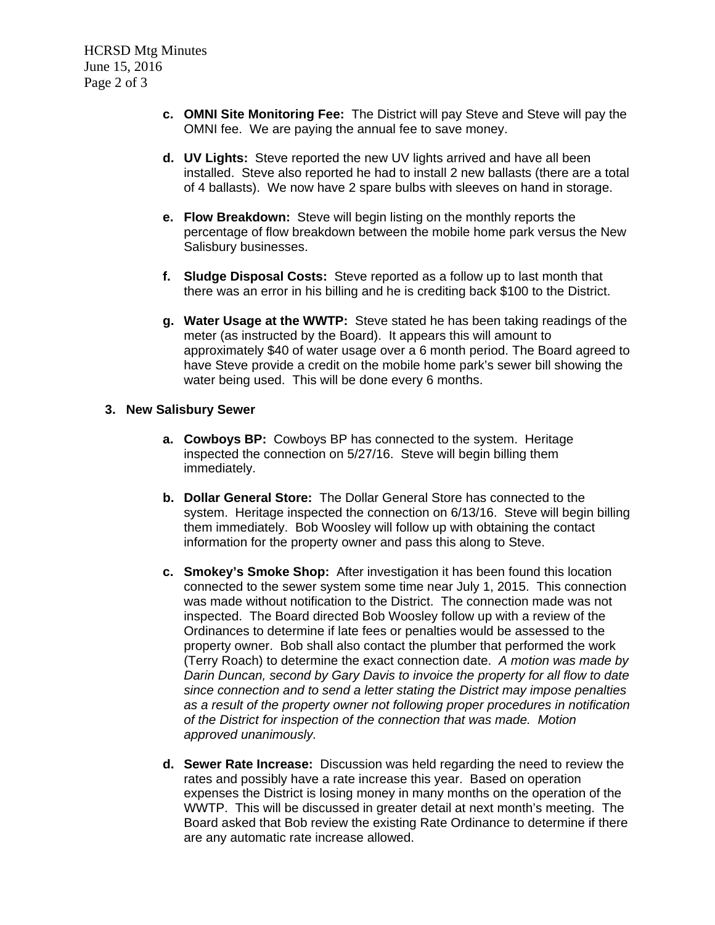- **c. OMNI Site Monitoring Fee:** The District will pay Steve and Steve will pay the OMNI fee. We are paying the annual fee to save money.
- **d. UV Lights:** Steve reported the new UV lights arrived and have all been installed. Steve also reported he had to install 2 new ballasts (there are a total of 4 ballasts). We now have 2 spare bulbs with sleeves on hand in storage.
- **e. Flow Breakdown:** Steve will begin listing on the monthly reports the percentage of flow breakdown between the mobile home park versus the New Salisbury businesses.
- **f. Sludge Disposal Costs:** Steve reported as a follow up to last month that there was an error in his billing and he is crediting back \$100 to the District.
- **g. Water Usage at the WWTP:** Steve stated he has been taking readings of the meter (as instructed by the Board). It appears this will amount to approximately \$40 of water usage over a 6 month period. The Board agreed to have Steve provide a credit on the mobile home park's sewer bill showing the water being used. This will be done every 6 months.

### **3. New Salisbury Sewer**

- **a. Cowboys BP:** Cowboys BP has connected to the system. Heritage inspected the connection on 5/27/16. Steve will begin billing them immediately.
- **b. Dollar General Store:** The Dollar General Store has connected to the system. Heritage inspected the connection on 6/13/16. Steve will begin billing them immediately. Bob Woosley will follow up with obtaining the contact information for the property owner and pass this along to Steve.
- **c. Smokey's Smoke Shop:** After investigation it has been found this location connected to the sewer system some time near July 1, 2015. This connection was made without notification to the District. The connection made was not inspected. The Board directed Bob Woosley follow up with a review of the Ordinances to determine if late fees or penalties would be assessed to the property owner. Bob shall also contact the plumber that performed the work (Terry Roach) to determine the exact connection date. *A motion was made by Darin Duncan, second by Gary Davis to invoice the property for all flow to date since connection and to send a letter stating the District may impose penalties as a result of the property owner not following proper procedures in notification of the District for inspection of the connection that was made. Motion approved unanimously.*
- **d. Sewer Rate Increase:** Discussion was held regarding the need to review the rates and possibly have a rate increase this year. Based on operation expenses the District is losing money in many months on the operation of the WWTP. This will be discussed in greater detail at next month's meeting. The Board asked that Bob review the existing Rate Ordinance to determine if there are any automatic rate increase allowed.